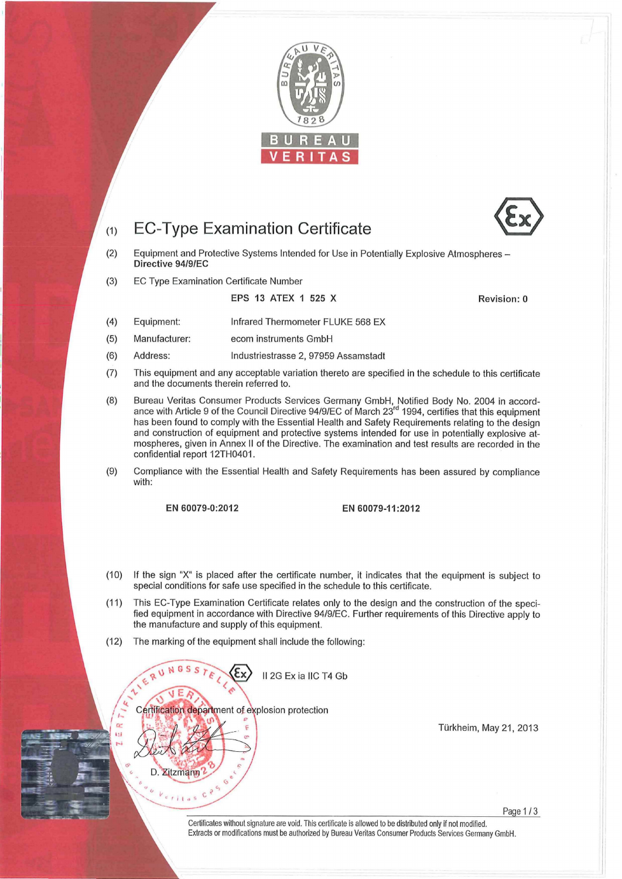

### (1) EC-Type Examination Certificate



(3) EC Type Examination Certificate Number

EPS 13 ATEX 1 525 X Revision: 0

- (4) Equipment: Infrared Thermometer FLUKE 568 EX
- (5) Manufacturer: ecom instruments GmbH
- (6) Address: Industriestrasse 2, 97959 Assamstadt
- (7) This equipment and any acceptable variation thereto are specified in the schedule to this certificate and the documents therein referred to.
- (8) Bureau Veritas Consumer Products Services Germany GmbH, Notified Body No. 2004 in accordance with Article 9 of the Council Directive 94/9/EC of March 23<sup>rd</sup> 1994, certifies that this equipment has been found to comply with the Essential Health and Safety Requirements relating to the design and construction of equipment and protective systems intended for use in potentially explosive atmospheres, given in Annex II of the Directive. The examination and test results are recorded in the confidential report 12TH0401.
- (9) Compliance with the Essential Health and Safety Requirements has been assured by compliance with:

## EN 60079-0:2012 EN 60079-11:2012

- (10) If the sign "X" is placed after the cerlificate number, it indicates that the equipment is subject to special conditions for safe use specified in the schedule to this certificate.
- (11) This EC-Type Examination Certificate relates only to the design and the construction of the specified equipment in accordance with Directive 94/9/EC. Further requirements of this Directive apply to the manufacture and supply of this equipment.
- (12) The marking of the equipment shall include the following:

II 2G Ex ia IIC T4 Gb

Certification department of explosion protection

D. Zitzmann  $^{\circ}$  . c,  $^{\circ}$  $V_{\text{c},\text{c}}$   $C$ 

 $99$ 

4

 $\alpha$ ω Türkheim, May 21, 2013

Certificates without signature are void. This certificate is allowed to be distributed only if not modified. Extracts or modifications must be authorized by Bureau Veritas Consumer Products Services Gerrnany GmbH.

Page 1 /3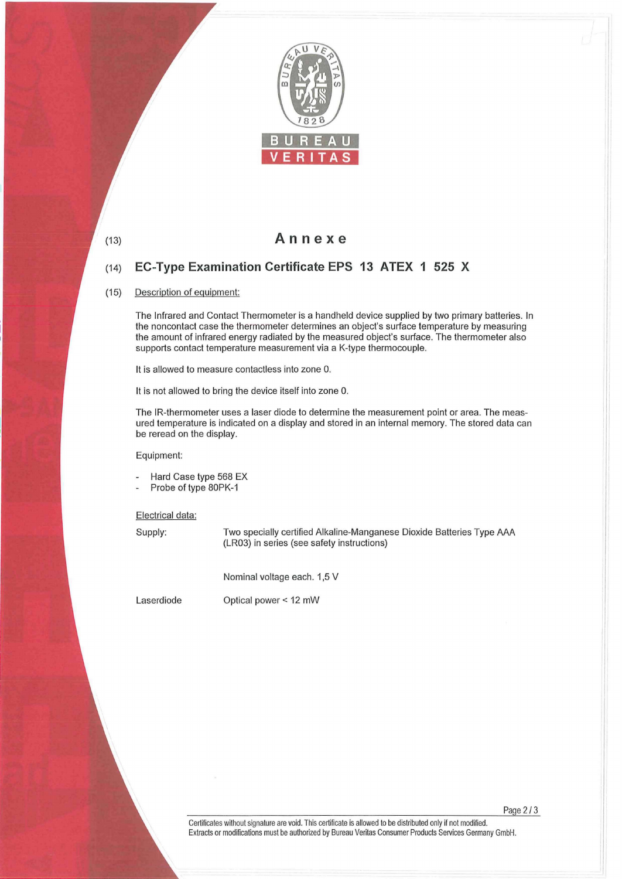

(13)

# Annexe

### $(14)$ EC-Type Examination Certificate EPS 13 ATEX 1 525 X

#### (15) Description of equipment:

The Infrared and Contact Thermometer is a handheld device supplied by two primary batteries. In the noncontact case the thermometer determines an object's surface temperature by measuring the amount of infrared energy radiated by the measured object's surface. The thermometer also supports contact temperature measurement via a K-type thermocouple.

It is allowed to measure contactless into zone 0.

It is not allowed to bring the device itself into zone 0.

The IR-thermometer uses a laser diode to determine the measurement point or area. The measured temperature is indicated on a display and stored in an internal memory. The stored data can be reread on the display.

Equipment:

- Hard Case type 568 EX
- Probe of type 80PK-1

Electrical data:

Supply: Two specially certified Alkaline-Manganese Dioxide Batteries Type AAA (LR03) in series (see safety instructions)

Nominal voltage each. 1,5 V

Laserdiode

Optical power < 12 mW

Page 2 / 3